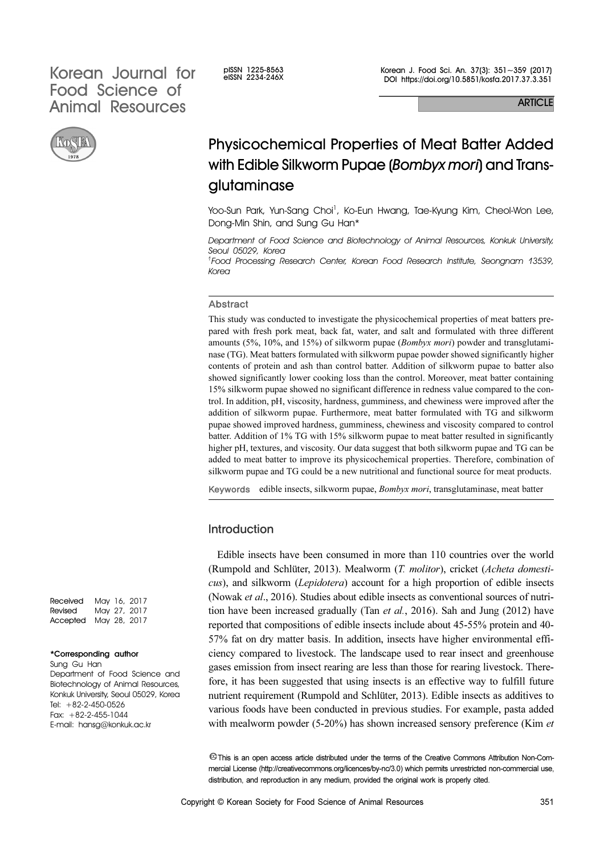# Korean Journal for elssn 1225-8563 Food Science of Animal Resources



Korean J. Food Sci. An. 37(3): 351~359 (2017) DOI https://doi.org/10.5851/kosfa.2017.37.3.351

**ARTICLE** 

# Physicochemical Properties of Meat Batter Added with Edible Silkworm Pupae (*Bombyx mori*) and Transglutaminase

Yoo-Sun Park, Yun-Sang Choi<sup>1</sup>, Ko-Eun Hwang, Tae-Kyung Kim, Cheol-Won Lee, Dong-Min Shin, and Sung Gu Han\*

Department of Food Science and Biotechnology of Animal Resources, Konkuk University, Seoul 05029, Korea

1 Food Processing Research Center, Korean Food Research Institute, Seongnam 13539, Korea

#### Abstract

This study was conducted to investigate the physicochemical properties of meat batters prepared with fresh pork meat, back fat, water, and salt and formulated with three different amounts (5%, 10%, and 15%) of silkworm pupae (Bombyx mori) powder and transglutaminase (TG). Meat batters formulated with silkworm pupae powder showed significantly higher contents of protein and ash than control batter. Addition of silkworm pupae to batter also showed significantly lower cooking loss than the control. Moreover, meat batter containing 15% silkworm pupae showed no significant difference in redness value compared to the control. In addition, pH, viscosity, hardness, gumminess, and chewiness were improved after the addition of silkworm pupae. Furthermore, meat batter formulated with TG and silkworm pupae showed improved hardness, gumminess, chewiness and viscosity compared to control batter. Addition of 1% TG with 15% silkworm pupae to meat batter resulted in significantly higher pH, textures, and viscosity. Our data suggest that both silkworm pupae and TG can be added to meat batter to improve its physicochemical properties. Therefore, combination of silkworm pupae and TG could be a new nutritional and functional source for meat products.

Keywords edible insects, silkworm pupae, *Bombyx mori*, transglutaminase, meat batter

# Introduction

Edible insects have been consumed in more than 110 countries over the world (Rumpold and Schlüter, 2013). Mealworm (T. molitor), cricket (Acheta domesticus), and silkworm (Lepidotera) account for a high proportion of edible insects (Nowak et al., 2016). Studies about edible insects as conventional sources of nutrition have been increased gradually (Tan  $et$   $al$ , 2016). Sah and Jung (2012) have reported that compositions of edible insects include about 45-55% protein and 40- 57% fat on dry matter basis. In addition, insects have higher environmental efficiency compared to livestock. The landscape used to rear insect and greenhouse gases emission from insect rearing are less than those for rearing livestock. Therefore, it has been suggested that using insects is an effective way to fulfill future nutrient requirement (Rumpold and Schlüter, 2013). Edible insects as additives to various foods have been conducted in previous studies. For example, pasta added with mealworm powder (5-20%) has shown increased sensory preference (Kim *et*)

This is an open access article distributed under the terms of the Creative Commons Attribution Non-Commercial License (http://creativecommons.org/licences/by-nc/3.0) which permits unrestricted non-commercial use, distribution, and reproduction in any medium, provided the original work is properly cited.

Received May 16, 2017 Revised May 27, 2017 Accepted May 28, 2017

#### \*Corresponding author

Sung Gu Han Department of Food Science and Biotechnology of Animal Resources, Konkuk University, Seoul 05029, Korea Tel: +82-2-450-0526 Fax: +82-2-455-1044 E-mail: hansg@konkuk.ac.kr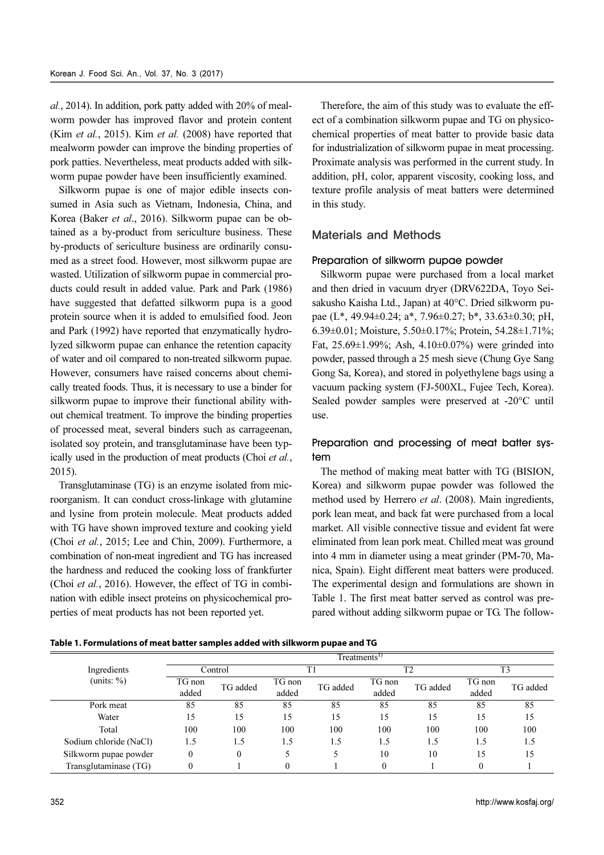al., 2014). In addition, pork patty added with 20% of mealworm powder has improved flavor and protein content (Kim et al., 2015). Kim et al. (2008) have reported that mealworm powder can improve the binding properties of pork patties. Nevertheless, meat products added with silkworm pupae powder have been insufficiently examined.

Silkworm pupae is one of major edible insects consumed in Asia such as Vietnam, Indonesia, China, and Korea (Baker et al., 2016). Silkworm pupae can be obtained as a by-product from sericulture business. These by-products of sericulture business are ordinarily consumed as a street food. However, most silkworm pupae are wasted. Utilization of silkworm pupae in commercial products could result in added value. Park and Park (1986) have suggested that defatted silkworm pupa is a good protein source when it is added to emulsified food. Jeon and Park (1992) have reported that enzymatically hydrolyzed silkworm pupae can enhance the retention capacity of water and oil compared to non-treated silkworm pupae. However, consumers have raised concerns about chemically treated foods. Thus, it is necessary to use a binder for silkworm pupae to improve their functional ability without chemical treatment. To improve the binding properties of processed meat, several binders such as carrageenan, isolated soy protein, and transglutaminase have been typically used in the production of meat products (Choi et al., 2015).

Transglutaminase (TG) is an enzyme isolated from microorganism. It can conduct cross-linkage with glutamine and lysine from protein molecule. Meat products added with TG have shown improved texture and cooking yield (Choi et al., 2015; Lee and Chin, 2009). Furthermore, a combination of non-meat ingredient and TG has increased the hardness and reduced the cooking loss of frankfurter (Choi et al., 2016). However, the effect of TG in combination with edible insect proteins on physicochemical properties of meat products has not been reported yet.

Therefore, the aim of this study was to evaluate the effect of a combination silkworm pupae and TG on physicochemical properties of meat batter to provide basic data for industrialization of silkworm pupae in meat processing. Proximate analysis was performed in the current study. In addition, pH, color, apparent viscosity, cooking loss, and texture profile analysis of meat batters were determined in this study.

# Materials and Methods

# Preparation of silkworm pupae powder

Silkworm pupae were purchased from a local market and then dried in vacuum dryer (DRV622DA, Toyo Seisakusho Kaisha Ltd., Japan) at 40°C. Dried silkworm pupae (L\*, 49.94±0.24; a\*, 7.96±0.27; b\*, 33.63±0.30; pH, 6.39±0.01; Moisture, 5.50±0.17%; Protein, 54.28±1.71%; Fat,  $25.69 \pm 1.99\%$ ; Ash,  $4.10 \pm 0.07\%$ ) were grinded into powder, passed through a 25 mesh sieve (Chung Gye Sang Gong Sa, Korea), and stored in polyethylene bags using a vacuum packing system (FJ-500XL, Fujee Tech, Korea). Sealed powder samples were preserved at -20°C until use.

# Preparation and processing of meat batter system

The method of making meat batter with TG (BISION, Korea) and silkworm pupae powder was followed the method used by Herrero et al. (2008). Main ingredients, pork lean meat, and back fat were purchased from a local market. All visible connective tissue and evident fat were eliminated from lean pork meat. Chilled meat was ground into 4 mm in diameter using a meat grinder (PM-70, Manica, Spain). Eight different meat batters were produced. The experimental design and formulations are shown in Table 1. The first meat batter served as control was prepared without adding silkworm pupae or TG. The follow-

| Table 1. Formulations of meat batter samples added with silkworm pupae and TG |  |  |  |
|-------------------------------------------------------------------------------|--|--|--|
|-------------------------------------------------------------------------------|--|--|--|

|                        | Treatments <sup>1)</sup> |                  |                 |          |                 |                |                 |                        |  |
|------------------------|--------------------------|------------------|-----------------|----------|-----------------|----------------|-----------------|------------------------|--|
| Ingredients            |                          | Control          |                 | T1       |                 | T <sub>2</sub> | T <sub>3</sub>  |                        |  |
| (units: $\%$ )         | TG non<br>added          | TG added         | TG non<br>added | TG added | TG non<br>added | TG added       | TG non<br>added | TG added               |  |
| Pork meat              | 85                       | 85               | 85              | 85       | 85              | 85             | 85              | 85                     |  |
| Water                  | 15                       | 15               | 15              | 15       | 15              | 15             | 15              | 15                     |  |
| Total                  | 100                      | 100              | 100             | 100      | 100             | 100            | 100             | 100                    |  |
| Sodium chloride (NaCl) | 1.5                      | 1.5              | 1.5             | 1.5      | 1.5             | 1.5            | 1.5             | 1.5                    |  |
| Silkworm pupae powder  | $\mathbf{0}$             | $\boldsymbol{0}$ | 5               | 5        | 10              | 10             | 15              | 15                     |  |
| Transglutaminase (TG)  | $\mathbf{0}$             |                  | $\mathbf{0}$    |          | $\mathbf{0}$    |                | $\overline{0}$  |                        |  |
| 352                    |                          |                  |                 |          |                 |                |                 | http://www.kosfaj.org/ |  |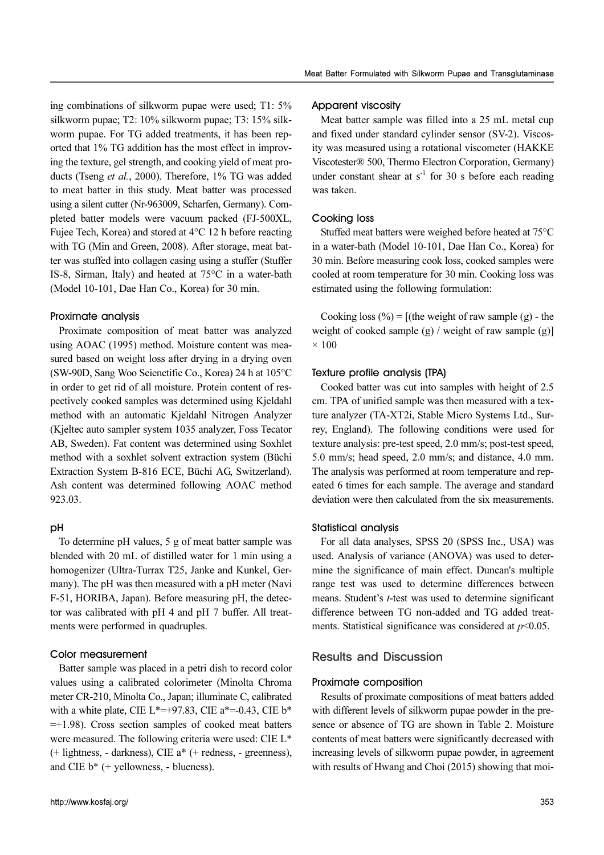ing combinations of silkworm pupae were used; T1: 5% silkworm pupae; T2: 10% silkworm pupae; T3: 15% silkworm pupae. For TG added treatments, it has been reported that 1% TG addition has the most effect in improving the texture, gel strength, and cooking yield of meat products (Tseng et al., 2000). Therefore, 1% TG was added to meat batter in this study. Meat batter was processed using a silent cutter (Nr-963009, Scharfen, Germany). Completed batter models were vacuum packed (FJ-500XL, Fujee Tech, Korea) and stored at 4°C 12 h before reacting with TG (Min and Green, 2008). After storage, meat batter was stuffed into collagen casing using a stuffer (Stuffer IS-8, Sirman, Italy) and heated at 75°C in a water-bath (Model 10-101, Dae Han Co., Korea) for 30 min.

## Proximate analysis

Proximate composition of meat batter was analyzed using AOAC (1995) method. Moisture content was measured based on weight loss after drying in a drying oven (SW-90D, Sang Woo Scienctific Co., Korea) 24 h at 105°C in order to get rid of all moisture. Protein content of respectively cooked samples was determined using Kjeldahl method with an automatic Kjeldahl Nitrogen Analyzer (Kjeltec auto sampler system 1035 analyzer, Foss Tecator AB, Sweden). Fat content was determined using Soxhlet method with a soxhlet solvent extraction system (Büchi Extraction System B-816 ECE, Büchi AG, Switzerland). Ash content was determined following AOAC method 923.03.

# pH

To determine pH values, 5 g of meat batter sample was blended with 20 mL of distilled water for 1 min using a homogenizer (Ultra-Turrax T25, Janke and Kunkel, Germany). The pH was then measured with a pH meter (Navi F-51, HORIBA, Japan). Before measuring pH, the detector was calibrated with pH 4 and pH 7 buffer. All treatments were performed in quadruples.

#### Color measurement

Batter sample was placed in a petri dish to record color values using a calibrated colorimeter (Minolta Chroma meter CR-210, Minolta Co., Japan; illuminate C, calibrated with a white plate, CIE L\*=+97.83, CIE a\*=-0.43, CIE b\*  $=+1.98$ ). Cross section samples of cooked meat batters were measured. The following criteria were used: CIE L\* (+ lightness, - darkness), CIE a\* (+ redness, - greenness), and CIE  $b^*$  (+ yellowness, - blueness).

## Apparent viscosity

Meat batter sample was filled into a 25 mL metal cup and fixed under standard cylinder sensor (SV-2). Viscosity was measured using a rotational viscometer (HAKKE Viscotester® 500, Thermo Electron Corporation, Germany) under constant shear at  $s^{-1}$  for 30 s before each reading was taken.

#### Cooking loss

Stuffed meat batters were weighed before heated at 75°C in a water-bath (Model 10-101, Dae Han Co., Korea) for 30 min. Before measuring cook loss, cooked samples were cooled at room temperature for 30 min. Cooking loss was estimated using the following formulation:

Cooking loss  $(\% ) =$  [(the weight of raw sample (g) - the weight of cooked sample  $(g)$  / weight of raw sample  $(g)$ ]  $\times$  100

## Texture profile analysis (TPA)

Cooked batter was cut into samples with height of 2.5 cm. TPA of unified sample was then measured with a texture analyzer (TA-XT2i, Stable Micro Systems Ltd., Surrey, England). The following conditions were used for texture analysis: pre-test speed, 2.0 mm/s; post-test speed, 5.0 mm/s; head speed, 2.0 mm/s; and distance, 4.0 mm. The analysis was performed at room temperature and repeated 6 times for each sample. The average and standard deviation were then calculated from the six measurements.

#### Statistical analysis

For all data analyses, SPSS 20 (SPSS Inc., USA) was used. Analysis of variance (ANOVA) was used to determine the significance of main effect. Duncan's multiple range test was used to determine differences between means. Student's *t*-test was used to determine significant difference between TG non-added and TG added treatments. Statistical significance was considered at  $p<0.05$ .

# Results and Discussion

# Proximate composition

Results of proximate compositions of meat batters added with different levels of silkworm pupae powder in the presence or absence of TG are shown in Table 2. Moisture contents of meat batters were significantly decreased with increasing levels of silkworm pupae powder, in agreement with results of Hwang and Choi (2015) showing that moi-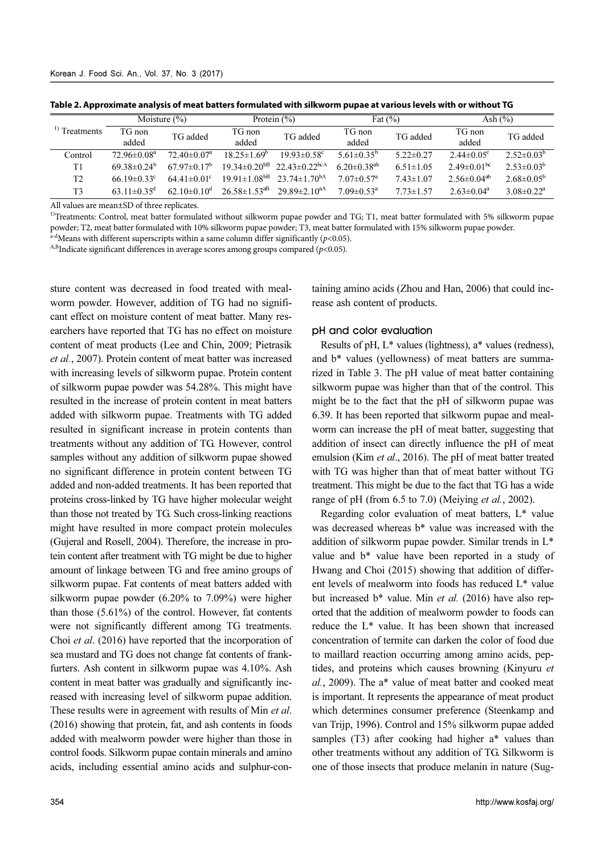| Moisture $(\%)$                                                                                                                                                                                                   |                               |                               | Protein $(\% )$                | Fat $(\%)$                     |                                | Ash $(\%)$      |                                                                                                                                                                                                                                                                                    |                              |  |  |
|-------------------------------------------------------------------------------------------------------------------------------------------------------------------------------------------------------------------|-------------------------------|-------------------------------|--------------------------------|--------------------------------|--------------------------------|-----------------|------------------------------------------------------------------------------------------------------------------------------------------------------------------------------------------------------------------------------------------------------------------------------------|------------------------------|--|--|
| <sup>1)</sup> Treatments                                                                                                                                                                                          | TG non<br>added               | TG added                      | TG non<br>added                | TG added                       | TG non<br>added                | TG added        | TG non<br>added                                                                                                                                                                                                                                                                    | TG added                     |  |  |
| Control                                                                                                                                                                                                           | $72.96 \pm 0.08^a$            | $72.40 \pm 0.07$ <sup>a</sup> | $18.25 \pm 1.69^b$             | $19.93 \pm 0.58$ <sup>c</sup>  | $5.61 \pm 0.35^b$              | $5.22 \pm 0.27$ | $2.44 \pm 0.05$ °                                                                                                                                                                                                                                                                  | $2.52 \pm 0.03^b$            |  |  |
| T1                                                                                                                                                                                                                | $69.38 \pm 0.24^b$            | $67.97 \pm 0.17^b$            | $19.34 \pm 0.20$ <sup>bB</sup> | $22.43 \pm 0.22^{\text{bcA}}$  | $6.20 \pm 0.38$ <sup>ab</sup>  | $6.51 \pm 1.05$ | $2.49 \pm 0.01$ <sup>bc</sup>                                                                                                                                                                                                                                                      | $2.53 \pm 0.03^b$            |  |  |
| T <sub>2</sub>                                                                                                                                                                                                    | $66.19 \pm 0.33$ °            | $64.41 \pm 0.01$ °            | $19.91 \pm 1.08^{b}$           | $23.74 \pm 1.70^{bA}$          | $7.07 \pm 0.57$ <sup>a</sup>   | $7.43 \pm 1.07$ | $2.56 \pm 0.04^{ab}$                                                                                                                                                                                                                                                               | $2.68 \pm 0.05^{\rm b}$      |  |  |
| T3                                                                                                                                                                                                                | $63.11 \pm 0.35$ <sup>d</sup> | $62.10 \pm 0.10$ <sup>d</sup> | $26.58 \pm 1.53$ <sup>aB</sup> | 29.89 $\pm$ 2.10 <sup>aA</sup> | $7.09 \pm 0.53$ <sup>a</sup>   | $7.73 \pm 1.57$ | $2.63 \pm 0.04^a$                                                                                                                                                                                                                                                                  | $3.08 \pm 0.22$ <sup>a</sup> |  |  |
| <sup>a-d</sup> Means with different superscripts within a same column differ significantly ( $p$ <0.05).<br><sup>A,B</sup> Indicate significant differences in average scores among groups compared ( $p$ <0.05). |                               |                               |                                |                                |                                |                 | <sup>1)</sup> Treatments: Control, meat batter formulated without silkworm pupae powder and TG; T1, meat batter formulated with 5% silkworm pupae<br>powder; T2, meat batter formulated with 10% silkworm pupae powder; T3, meat batter formulated with 15% silkworm pupae powder. |                              |  |  |
| sture content was decreased in food treated with meal-<br>worm powder. However, addition of TG had no signifi-<br>cant effect on moisture content of meat batter. Many res-                                       |                               |                               |                                |                                | rease ash content of products. |                 | taining amino acids (Zhou and Han, 2006) that could inc-                                                                                                                                                                                                                           |                              |  |  |
| earchers have reported that TG has no effect on moisture                                                                                                                                                          |                               |                               |                                |                                | pH and color evaluation        |                 |                                                                                                                                                                                                                                                                                    |                              |  |  |
| content of meat products (Lee and Chin, 2009; Pietrasik<br>et al., 2007). Protein content of meat batter was increased                                                                                            |                               |                               |                                |                                |                                |                 | Results of pH, L* values (lightness), a* values (redness),<br>and b <sup>*</sup> values (yellowness) of meat batters are summa-                                                                                                                                                    |                              |  |  |

**Table 2. Approximate analysis of meat batters formulated with silkworm pupae at various levels with or without TG**

sture content was decreased in food treated with mealworm powder. However, addition of TG had no significant effect on moisture content of meat batter. Many researchers have reported that TG has no effect on moisture content of meat products (Lee and Chin, 2009; Pietrasik et al., 2007). Protein content of meat batter was increased with increasing levels of silkworm pupae. Protein content of silkworm pupae powder was 54.28%. This might have resulted in the increase of protein content in meat batters added with silkworm pupae. Treatments with TG added resulted in significant increase in protein contents than treatments without any addition of TG. However, control samples without any addition of silkworm pupae showed no significant difference in protein content between TG added and non-added treatments. It has been reported that proteins cross-linked by TG have higher molecular weight than those not treated by TG. Such cross-linking reactions might have resulted in more compact protein molecules (Gujeral and Rosell, 2004). Therefore, the increase in protein content after treatment with TG might be due to higher amount of linkage between TG and free amino groups of silkworm pupae. Fat contents of meat batters added with silkworm pupae powder (6.20% to 7.09%) were higher than those (5.61%) of the control. However, fat contents were not significantly different among TG treatments. Choi et al. (2016) have reported that the incorporation of sea mustard and TG does not change fat contents of frankfurters. Ash content in silkworm pupae was 4.10%. Ash content in meat batter was gradually and significantly increased with increasing level of silkworm pupae addition. These results were in agreement with results of Min et al. (2016) showing that protein, fat, and ash contents in foods added with mealworm powder were higher than those in control foods. Silkworm pupae contain minerals and amino acids, including essential amino acids and sulphur-con-<sup>c</sup> 64.41±0.01<sup>c</sup> 19.91±1.08<sup>8B</sup> 23.74±1.70<sup>0A</sup> 7.07±0.57<sup>a</sup> 7.43±1.07 2.56±0.04<sup>ab</sup> 2.68±0.05<sup>b</sup><br><sup>d</sup> 62.10±0.10<sup>d</sup> 26.58±1.53<sup>aB</sup> 29.89±2.10<sup>aA</sup> 7.09±0.53<sup>a</sup> 7.73±1.57 2.63±0.04<sup>a</sup> 3.08±0.22<sup>a</sup><br>recreplicates.<br>axed remula  $\frac{d}{dx}$  62.10±0.10<sup>d</sup> 26.58±1.53<sup>aB</sup> 29.89±2.10<sup>aA</sup> 7.09±0.53<sup>a</sup> 7.73±1.57 2.63±0.04<sup>a</sup> 3.08±0.22<sup>a</sup><br>ree replicates.<br>exergence and the subset formulated with 15% silkworm pup<br>ulated with 10% silkworm pupae powder; T3, m

## pH and color evaluation

Results of pH, L\* values (lightness), a\* values (redness), and b\* values (yellowness) of meat batters are summarized in Table 3. The pH value of meat batter containing silkworm pupae was higher than that of the control. This might be to the fact that the pH of silkworm pupae was 6.39. It has been reported that silkworm pupae and mealworm can increase the pH of meat batter, suggesting that addition of insect can directly influence the pH of meat emulsion (Kim et al., 2016). The pH of meat batter treated with TG was higher than that of meat batter without TG treatment. This might be due to the fact that TG has a wide range of pH (from 6.5 to 7.0) (Meiying *et al.*, 2002).

Regarding color evaluation of meat batters, L\* value was decreased whereas b\* value was increased with the addition of silkworm pupae powder. Similar trends in L\* value and b\* value have been reported in a study of Hwang and Choi (2015) showing that addition of different levels of mealworm into foods has reduced L\* value but increased  $b^*$  value. Min *et al.* (2016) have also reported that the addition of mealworm powder to foods can reduce the L\* value. It has been shown that increased concentration of termite can darken the color of food due to maillard reaction occurring among amino acids, peptides, and proteins which causes browning (Kinyuru et al., 2009). The a\* value of meat batter and cooked meat is important. It represents the appearance of meat product which determines consumer preference (Steenkamp and van Trijp, 1996). Control and 15% silkworm pupae added samples (T3) after cooking had higher a\* values than other treatments without any addition of TG. Silkworm is one of those insects that produce melanin in nature (Sug-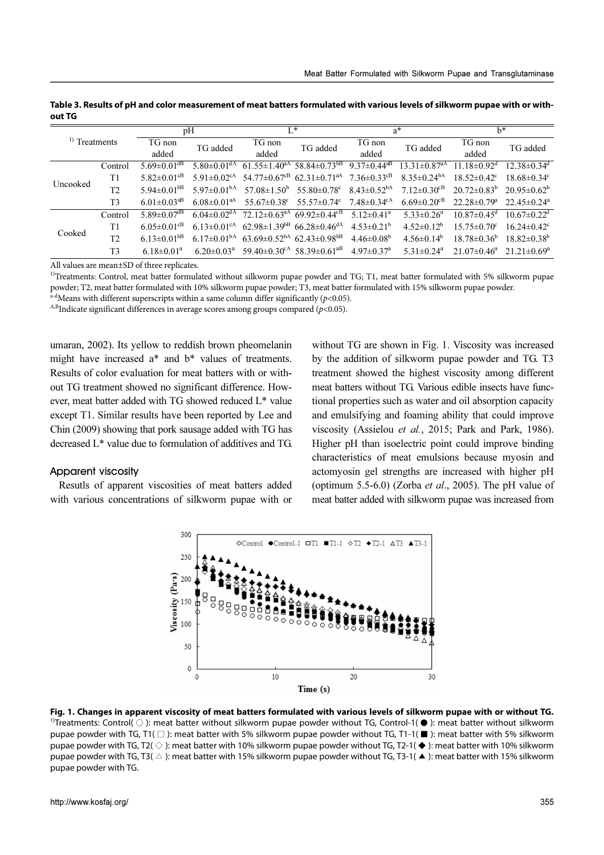| <sup>1</sup> ) Treatments                                                                                                                                                                                                                                                                                                                                                                                                                                                                                                                                                                                   |                | pH                            |                               | $L^*$                          |                                                               |                               | $a^*$                          | $h^*$                         |                               |
|-------------------------------------------------------------------------------------------------------------------------------------------------------------------------------------------------------------------------------------------------------------------------------------------------------------------------------------------------------------------------------------------------------------------------------------------------------------------------------------------------------------------------------------------------------------------------------------------------------------|----------------|-------------------------------|-------------------------------|--------------------------------|---------------------------------------------------------------|-------------------------------|--------------------------------|-------------------------------|-------------------------------|
|                                                                                                                                                                                                                                                                                                                                                                                                                                                                                                                                                                                                             |                | TG non<br>added               | TG added                      | TG non<br>added                | TG added                                                      | TG non<br>added               | TG added                       | TG non<br>added               | TG added                      |
|                                                                                                                                                                                                                                                                                                                                                                                                                                                                                                                                                                                                             | Control        | $5.69 \pm 0.01$ <sup>dB</sup> | $5.80 \pm 0.01$ <sup>dA</sup> | $61.55 \pm 1.40^{\text{aA}}$   | $58.84 \pm 0.73$ <sup>bB</sup>                                | $9.37 \pm 0.44$ <sup>aB</sup> | $13.31 \pm 0.87$ <sup>aA</sup> | $11.18 \pm 0.92$ <sup>d</sup> | $12.38 \pm 0.34$ <sup>d</sup> |
| Uncooked                                                                                                                                                                                                                                                                                                                                                                                                                                                                                                                                                                                                    | T <sub>1</sub> | $5.82 \pm 0.01$ <sup>cB</sup> | $5.91 \pm 0.02$ <sup>cA</sup> | $54.77 \pm 0.67$ <sup>cB</sup> | $62.31 \pm 0.71$ <sup>aA</sup>                                | $7.36 \pm 0.33$ cB            | $8.35 \pm 0.24$ <sup>bA</sup>  | $18.52 \pm 0.42$ <sup>c</sup> | $18.68 \pm 0.34$ <sup>c</sup> |
|                                                                                                                                                                                                                                                                                                                                                                                                                                                                                                                                                                                                             | T2             | 5.94 $\pm$ 0.01 <sup>bB</sup> | $5.97 \pm 0.01bA$             | $57.08 \pm 1.50^{\circ}$       | 55.80 $\pm$ 0.78 $\mathrm{c}$                                 | $8.43 \pm 0.52^{bA}$          | $7.12 \pm 0.30$ <sup>cB</sup>  | $20.72 \pm 0.83^b$            | $20.95 \pm 0.62^b$            |
|                                                                                                                                                                                                                                                                                                                                                                                                                                                                                                                                                                                                             | T <sub>3</sub> | $6.01 \pm 0.03$ <sup>aB</sup> | $6.08 \pm 0.01$ <sup>aA</sup> | $55.67 \pm 0.38$ °             | 55.57 $\pm$ 0.74 $\textdegree$                                | $7.48 \pm 0.34$ <sup>cA</sup> | $6.69 \pm 0.20$ <sup>cB</sup>  | $22.28 \pm 0.79$ <sup>a</sup> | $22.45 \pm 0.24$ <sup>a</sup> |
|                                                                                                                                                                                                                                                                                                                                                                                                                                                                                                                                                                                                             | Control        | 5.89 $\pm$ 0.07 $\rm^{dB}$    | $6.04 \pm 0.02$ <sup>dA</sup> |                                | $72.12 \pm 0.63$ <sup>aA</sup> 69.92 $\pm$ 0.44 <sup>cB</sup> | $5.12 \pm 0.41$ <sup>a</sup>  | $5.33 \pm 0.26$ <sup>a</sup>   | $10.87 \pm 0.45$ <sup>d</sup> | $10.67 \pm 0.22$ <sup>d</sup> |
| Cooked                                                                                                                                                                                                                                                                                                                                                                                                                                                                                                                                                                                                      | T <sub>1</sub> | $6.05 \pm 0.01$ <sup>cB</sup> | $6.13 \pm 0.01$ <sup>cA</sup> |                                | $62.98 \pm 1.39^{b}$ 66.28 $\pm 0.46^{d}$                     | $4.53 \pm 0.21^b$             | $4.52 \pm 0.12^b$              | $15.75 \pm 0.70$ <sup>c</sup> | $16.24 \pm 0.42$ <sup>c</sup> |
|                                                                                                                                                                                                                                                                                                                                                                                                                                                                                                                                                                                                             | T <sub>2</sub> | $6.13 \pm 0.01$ <sup>bB</sup> | $6.17 \pm 0.01bA$             |                                | $63.69 \pm 0.52^{bA}$ 62.43 $\pm 0.98^{bB}$                   | $4.46 \pm 0.08^b$             | $4.56 \pm 0.14^b$              | $18.78 \pm 0.36^{\circ}$      | $18.82 \pm 0.38^{\rm b}$      |
|                                                                                                                                                                                                                                                                                                                                                                                                                                                                                                                                                                                                             | T <sub>3</sub> | $6.18 \pm 0.01^a$             | $6.20 \pm 0.03$ <sup>a</sup>  |                                | 59.40 $\pm$ 0.30 <sup>cA</sup> 58.39 $\pm$ 0.61 <sup>aB</sup> | $4.97 \pm 0.37$ <sup>a</sup>  | $5.31 \pm 0.24$ <sup>a</sup>   | $21.07 \pm 0.46^{\circ}$      | $21.21 \pm 0.69^a$            |
| All values are mean±SD of three replicates.<br><sup>1)</sup> Treatments: Control, meat batter formulated without silkworm pupae powder and TG; T1, meat batter formulated with 5% silkworm pupae<br>powder; T2, meat batter formulated with 10% silkworm pupae powder; T3, meat batter formulated with 15% silkworm pupae powder.<br><sup>a-d</sup> Means with different superscripts within a same column differ significantly ( $p$ <0.05).<br><sup>A,B</sup> Indicate significant differences in average scores among groups compared ( $p$ <0.05).                                                      |                |                               |                               |                                |                                                               |                               |                                |                               |                               |
| umaran, 2002). Its yellow to reddish brown pheomelanin<br>without TG are shown in Fig. 1. Viscosity was increased<br>might have increased a* and b* values of treatments.<br>by the addition of silkworm pupae powder and TG. T3<br>Results of color evaluation for meat batters with or with-<br>treatment showed the highest viscosity among different<br>meat batters without TG. Various edible insects have func-<br>out TG treatment showed no significant difference. How-<br>ever, meat batter added with TG showed reduced L* value<br>tional properties such as water and oil absorption capacity |                |                               |                               |                                |                                                               |                               |                                |                               |                               |

**Table 3. Results of pH and color measurement of meat batters formulated with various levels of silkworm pupae with or without TG**

umaran, 2002). Its yellow to reddish brown pheomelanin might have increased a\* and b\* values of treatments. Results of color evaluation for meat batters with or without TG treatment showed no significant difference. However, meat batter added with TG showed reduced L\* value except T1. Similar results have been reported by Lee and Chin (2009) showing that pork sausage added with TG has decreased L\* value due to formulation of additives and TG.

#### Apparent viscosity

Resutls of apparent viscosities of meat batters added with various concentrations of silkworm pupae with or

without TG are shown in Fig. 1. Viscosity was increased by the addition of silkworm pupae powder and TG. T3 treatment showed the highest viscosity among different meat batters without TG. Various edible insects have functional properties such as water and oil absorption capacity and emulsifying and foaming ability that could improve viscosity (Assielou et al., 2015; Park and Park, 1986). Higher pH than isoelectric point could improve binding characteristics of meat emulsions because myosin and actomyosin gel strengths are increased with higher pH (optimum 5.5-6.0) (Zorba *et al.*, 2005). The pH value of meat batter added with silkworm pupae was increased from <sup>cB</sup> 6.13±0.01<sup>cA</sup> 62.98±1.39<sup>bB</sup> 66.28±0.46<sup>dA</sup> 4.53±0.21<sup>b</sup> 4.52±0.12<sup>b</sup> 15.75±0.70<sup>c</sup> 16.24±0.42<sup>c</sup><br><sup>BB</sup> 6.17±0.01<sup>bA</sup> 63.69±0.52<sup>bA</sup> 62.43±0.98<sup>bB</sup> 4.46±0.08<sup>b</sup> 4.56±0.14<sup>b</sup> 18.78±0.36<sup>b</sup> 18.82±0.38<sup>b</sup><br><sup>a</sup> 6.20±0.03<sup>a</sup> <sup>bB</sup> 6.17±0.01<sup>bA</sup> 63.69±0.52<sup>bA</sup> 62.43±0.98<sup>bB</sup> 4.46±0.08<sup>b</sup> 4.56±0.14<sup>b</sup> 18.78±0.36<sup>b</sup> 18.82±0.38<sup>b</sup><br>
<sup>1</sup> 6.20±0.03<sup>a</sup> 59.40±0.30<sup>cA</sup> 58.39±0.61<sup>aB</sup> 4.97±0.37<sup>a</sup> 5.31±0.24<sup>a</sup> 21.07±0.46<sup>a</sup> 21.21±0.69<sup>p</sup><br>
icates.<br>
icates <sup>a</sup> 6.20±0.03<sup>a</sup> 59.40±0.30<sup>cA</sup> 58.39±0.61<sup>aB</sup> 4.97±0.37<sup>a</sup> 5.31±0.24<sup>a</sup> 21.07±0.46<sup>a</sup> 21.21±0.69<sup>a</sup><br>cates.<br>cates.<br>cates.<br>munulated without silkworm pupae powder and TG; T1, meat batter formulated with 5% silkworm pupa<br>v



**Fig. 1. Changes in apparent viscosity of meat batters formulated with various levels of silkworm pupae with or without TG.** <sup>1)</sup>Treatments: Control(  $\bigcirc$  ): meat batter without silkworm pupae powder without TG, Control-1(  $\bullet$  ): meat batter without silkworm pupae powder with TG, T1( $\Box$ ): meat batter with 5% silkworm pupae powder without TG, T1-1( $\Box$ ): meat batter with 5% silkworm pupae powder with TG, T2( $\Diamond$ ): meat batter with 10% silkworm pupae powder without TG, T2-1( $\blacklozenge$ ): meat batter with 10% silkworm pupae powder with TG, T3( $\triangle$ ): meat batter with 15% silkworm pupae powder without TG, T3-1( $\blacktriangle$ ): meat batter with 15% silkworm pupae powder with TG.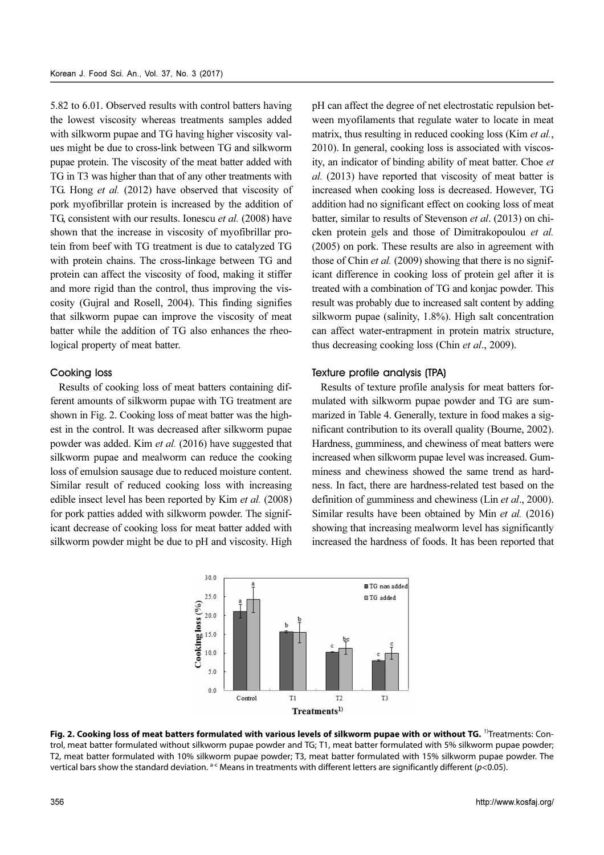5.82 to 6.01. Observed results with control batters having the lowest viscosity whereas treatments samples added with silkworm pupae and TG having higher viscosity values might be due to cross-link between TG and silkworm pupae protein. The viscosity of the meat batter added with TG in T3 was higher than that of any other treatments with TG. Hong et al. (2012) have observed that viscosity of pork myofibrillar protein is increased by the addition of TG, consistent with our results. Ionescu et al. (2008) have shown that the increase in viscosity of myofibrillar protein from beef with TG treatment is due to catalyzed TG with protein chains. The cross-linkage between TG and protein can affect the viscosity of food, making it stiffer and more rigid than the control, thus improving the viscosity (Gujral and Rosell, 2004). This finding signifies that silkworm pupae can improve the viscosity of meat batter while the addition of TG also enhances the rheological property of meat batter.

## Cooking loss

Results of cooking loss of meat batters containing different amounts of silkworm pupae with TG treatment are shown in Fig. 2. Cooking loss of meat batter was the highest in the control. It was decreased after silkworm pupae powder was added. Kim et al. (2016) have suggested that silkworm pupae and mealworm can reduce the cooking loss of emulsion sausage due to reduced moisture content. Similar result of reduced cooking loss with increasing edible insect level has been reported by Kim et al. (2008) for pork patties added with silkworm powder. The significant decrease of cooking loss for meat batter added with silkworm powder might be due to pH and viscosity. High

pH can affect the degree of net electrostatic repulsion between myofilaments that regulate water to locate in meat matrix, thus resulting in reduced cooking loss (Kim et al., 2010). In general, cooking loss is associated with viscosity, an indicator of binding ability of meat batter. Choe et al. (2013) have reported that viscosity of meat batter is increased when cooking loss is decreased. However, TG addition had no significant effect on cooking loss of meat batter, similar to results of Stevenson et al. (2013) on chicken protein gels and those of Dimitrakopoulou et al. (2005) on pork. These results are also in agreement with those of Chin et al. (2009) showing that there is no significant difference in cooking loss of protein gel after it is treated with a combination of TG and konjac powder. This result was probably due to increased salt content by adding silkworm pupae (salinity, 1.8%). High salt concentration can affect water-entrapment in protein matrix structure, thus decreasing cooking loss (Chin et al., 2009).

## Texture profile analysis (TPA)

Results of texture profile analysis for meat batters formulated with silkworm pupae powder and TG are summarized in Table 4. Generally, texture in food makes a significant contribution to its overall quality (Bourne, 2002). Hardness, gumminess, and chewiness of meat batters were increased when silkworm pupae level was increased. Gumminess and chewiness showed the same trend as hardness. In fact, there are hardness-related test based on the definition of gumminess and chewiness (Lin et al., 2000). Similar results have been obtained by Min et al. (2016) showing that increasing mealworm level has significantly increased the hardness of foods. It has been reported that



**Fig. 2. Cooking loss of meat batters formulated with various levels of silkworm pupae with or without TG.** 1)Treatments: Control, meat batter formulated without silkworm pupae powder and TG; T1, meat batter formulated with 5% silkworm pupae powder; T2, meat batter formulated with 10% silkworm pupae powder; T3, meat batter formulated with 15% silkworm pupae powder. The vertical bars show the standard deviation.  $a$ <sup>-c</sup> Means in treatments with different letters are significantly different (p<0.05).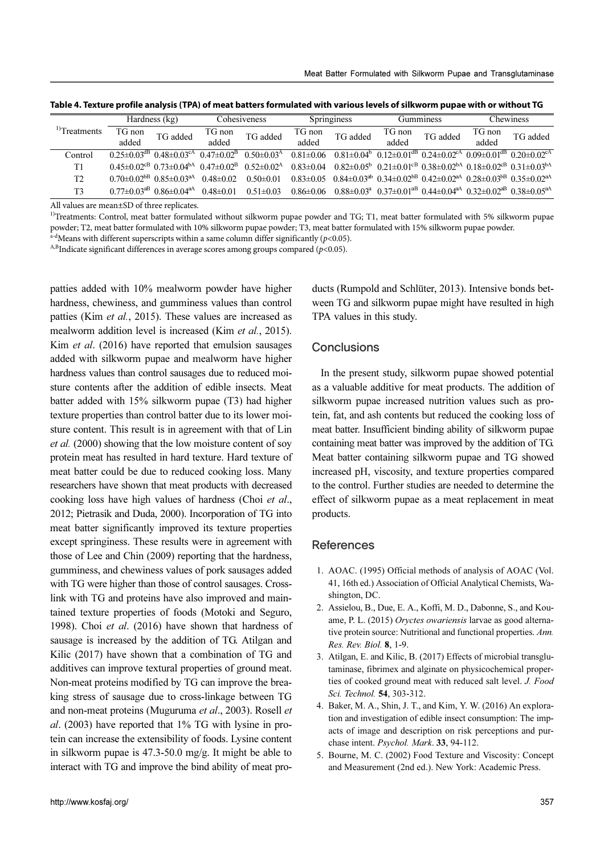| Hardness (kg)                                                                                                                                                                                                                                                                                                                                                                                                                                                                                                                                          |                 |                                                             | Cohesiveness            |                              | Springiness     |                                                        | Gumminess                                                                                                         | Chewiness |                 |                                                                                                                         |  |  |
|--------------------------------------------------------------------------------------------------------------------------------------------------------------------------------------------------------------------------------------------------------------------------------------------------------------------------------------------------------------------------------------------------------------------------------------------------------------------------------------------------------------------------------------------------------|-----------------|-------------------------------------------------------------|-------------------------|------------------------------|-----------------|--------------------------------------------------------|-------------------------------------------------------------------------------------------------------------------|-----------|-----------------|-------------------------------------------------------------------------------------------------------------------------|--|--|
| <sup>1)</sup> Treatments                                                                                                                                                                                                                                                                                                                                                                                                                                                                                                                               | TG non<br>added | TG added                                                    | TG non<br>added         | TG added                     | TG non<br>added | TG added                                               | TG non<br>added                                                                                                   | TG added  | TG non<br>added | TG added                                                                                                                |  |  |
| Control                                                                                                                                                                                                                                                                                                                                                                                                                                                                                                                                                |                 | $0.25 \pm 0.03$ <sup>dB</sup> $0.48 \pm 0.03$ <sup>cA</sup> | $0.47 \pm 0.02^{\rm B}$ | $0.50 \pm 0.03$ <sup>A</sup> | $0.81 \pm 0.06$ | $0.81 \pm 0.04^b$                                      |                                                                                                                   |           |                 | $0.12 \pm 0.01$ <sup>dB</sup> $0.24 \pm 0.02$ <sup>cA</sup> $0.09 \pm 0.01$ <sup>dB</sup> $0.20 \pm 0.02$ <sup>cA</sup> |  |  |
| T1                                                                                                                                                                                                                                                                                                                                                                                                                                                                                                                                                     |                 | $0.45\pm0.02^{cB}$ $0.73\pm0.04^{bA}$ $0.47\pm0.02^{B}$     |                         | $0.52 \pm 0.02^{\text{A}}$   | $0.83 \pm 0.04$ |                                                        | $0.82\pm0.05^{\rm b}$ $0.21\pm0.01^{\rm cB}$ $0.38\pm0.02^{\rm bA}$ $0.18\pm0.02^{\rm cB}$ $0.31\pm0.03^{\rm bA}$ |           |                 |                                                                                                                         |  |  |
| T <sub>2</sub>                                                                                                                                                                                                                                                                                                                                                                                                                                                                                                                                         |                 | $0.70 \pm 0.02^{\text{b}}$ $0.85 \pm 0.03^{\text{a}}$       | $0.48 \pm 0.02$         | $0.50 \pm 0.01$              | $0.83 \pm 0.05$ |                                                        | $0.84\pm0.03^{ab}$ $0.34\pm0.02^{b}$ $0.42\pm0.02^{a}$ $0.28\pm0.03^{b}$ $0.35\pm0.02^{a}$                        |           |                 |                                                                                                                         |  |  |
| T <sub>3</sub>                                                                                                                                                                                                                                                                                                                                                                                                                                                                                                                                         |                 | $0.77\pm0.03^{aB}$ $0.86\pm0.04^{aA}$ $0.48\pm0.01$         |                         | $0.51 \pm 0.03$              | $0.86 \pm 0.06$ |                                                        |                                                                                                                   |           |                 | $0.88 \pm 0.03^a$ $0.37 \pm 0.01^{aB}$ $0.44 \pm 0.04^{aA}$ $0.32 \pm 0.02^{aB}$ $0.38 \pm 0.05^{aA}$                   |  |  |
| All values are mean±SD of three replicates.<br><sup>1)</sup> Treatments: Control, meat batter formulated without silkworm pupae powder and TG; T1, meat batter formulated with 5% silkworm pupae<br>powder; T2, meat batter formulated with 10% silkworm pupae powder; T3, meat batter formulated with 15% silkworm pupae powder.<br><sup>a-d</sup> Means with different superscripts within a same column differ significantly ( $p$ <0.05).<br><sup>A,B</sup> Indicate significant differences in average scores among groups compared ( $p$ <0.05). |                 |                                                             |                         |                              |                 |                                                        |                                                                                                                   |           |                 |                                                                                                                         |  |  |
| patties added with 10% mealworm powder have higher                                                                                                                                                                                                                                                                                                                                                                                                                                                                                                     |                 |                                                             |                         |                              |                 |                                                        |                                                                                                                   |           |                 | ducts (Rumpold and Schlüter, 2013). Intensive bonds bet-                                                                |  |  |
| hardness, chewiness, and gumminess values than control                                                                                                                                                                                                                                                                                                                                                                                                                                                                                                 |                 |                                                             |                         |                              |                 | ween TG and silkworm pupae might have resulted in high |                                                                                                                   |           |                 |                                                                                                                         |  |  |
| patties (Kim et al., 2015). These values are increased as                                                                                                                                                                                                                                                                                                                                                                                                                                                                                              |                 |                                                             |                         |                              |                 | TPA values in this study.                              |                                                                                                                   |           |                 |                                                                                                                         |  |  |
| mealworm addition level is increased (Kim <i>et al.</i> , 2015).                                                                                                                                                                                                                                                                                                                                                                                                                                                                                       |                 |                                                             |                         |                              |                 |                                                        |                                                                                                                   |           |                 |                                                                                                                         |  |  |
|                                                                                                                                                                                                                                                                                                                                                                                                                                                                                                                                                        |                 |                                                             |                         |                              |                 |                                                        |                                                                                                                   |           |                 |                                                                                                                         |  |  |
| Kim <i>et al.</i> (2016) have reported that emulsion sausages<br><b>Conclusions</b><br>added with silkworm pupae and mealworm have higher                                                                                                                                                                                                                                                                                                                                                                                                              |                 |                                                             |                         |                              |                 |                                                        |                                                                                                                   |           |                 |                                                                                                                         |  |  |

**Table 4. Texture profile analysis (TPA) of meat batters formulated with various levels of silkworm pupae with or without TG**

patties added with 10% mealworm powder have higher hardness, chewiness, and gumminess values than control patties (Kim et al., 2015). These values are increased as mealworm addition level is increased (Kim et al., 2015). Kim *et al.* (2016) have reported that emulsion sausages added with silkworm pupae and mealworm have higher hardness values than control sausages due to reduced moisture contents after the addition of edible insects. Meat batter added with 15% silkworm pupae (T3) had higher texture properties than control batter due to its lower moisture content. This result is in agreement with that of Lin et al. (2000) showing that the low moisture content of soy protein meat has resulted in hard texture. Hard texture of meat batter could be due to reduced cooking loss. Many researchers have shown that meat products with decreased cooking loss have high values of hardness (Choi et al., 2012; Pietrasik and Duda, 2000). Incorporation of TG into meat batter significantly improved its texture properties except springiness. These results were in agreement with those of Lee and Chin (2009) reporting that the hardness, gumminess, and chewiness values of pork sausages added with TG were higher than those of control sausages. Crosslink with TG and proteins have also improved and maintained texture properties of foods (Motoki and Seguro, 1998). Choi et al. (2016) have shown that hardness of sausage is increased by the addition of TG. Atilgan and Kilic (2017) have shown that a combination of TG and additives can improve textural properties of ground meat. Non-meat proteins modified by TG can improve the breaking stress of sausage due to cross-linkage between TG and non-meat proteins (Muguruma et al., 2003). Rosell et al. (2003) have reported that 1% TG with lysine in protein can increase the extensibility of foods. Lysine content in silkworm pupae is 47.3-50.0 mg/g. It might be able to interact with TG and improve the bind ability of meat pro**bB** 0.85±0.03<sup>aA</sup> 0.48±0.02 0.50±0.01 0.83±0.05 0.84±0.03<sup>aB</sup> 0.34±0.02<sup>aB</sup> 0.42±0.02<sup>aB</sup> 0.28±0.03<sup>aB</sup> 0.35±0.02<sup>aB</sup><br>
aB 0.86±0.04<sup>aA</sup> 0.48±0.01 0.51±0.03 0.86±0.06 0.88±0.03<sup>a</sup> 0.37±0.01<sup>aB</sup> 0.44±0.04<sup>aA</sup> 0.32±0.02<sup>aB</sup> **B** 0.86±0.04<sup>aA</sup> 0.48±0.01 0.51±0.03 0.86±0.06 0.88±0.03<sup>a</sup> 0.37±0.01<sup>aB</sup> 0.44±0.04<sup>aA</sup> 0.32±0.02<sup>aB</sup> 0.38±0.05<sup>aA</sup><br>three replicates.<br>the batter formulated with 10% silkworm pupae powder, T3, meat batter formulated with

# **Conclusions**

In the present study, silkworm pupae showed potential as a valuable additive for meat products. The addition of silkworm pupae increased nutrition values such as protein, fat, and ash contents but reduced the cooking loss of meat batter. Insufficient binding ability of silkworm pupae containing meat batter was improved by the addition of TG. Meat batter containing silkworm pupae and TG showed increased pH, viscosity, and texture properties compared to the control. Further studies are needed to determine the effect of silkworm pupae as a meat replacement in meat products.

# **References**

- 1. AOAC. (1995) Official methods of analysis of AOAC (Vol. 41, 16th ed.) Association of Official Analytical Chemists, Washington, DC.
- 2. Assielou, B., Due, E. A., Koffi, M. D., Dabonne, S., and Kouame, P. L. (2015) Oryctes owariensis larvae as good alternative protein source: Nutritional and functional properties. Ann. Res. Rev. Biol. 8, 1-9.
- 3. Atilgan, E. and Kilic, B. (2017) Effects of microbial transglutaminase, fibrimex and alginate on physicochemical properties of cooked ground meat with reduced salt level. J. Food Sci. Technol. 54, 303-312.
- 4. Baker, M. A., Shin, J. T., and Kim, Y. W. (2016) An exploration and investigation of edible insect consumption: The impacts of image and description on risk perceptions and purchase intent. Psychol. Mark. 33, 94-112.
- 5. Bourne, M. C. (2002) Food Texture and Viscosity: Concept and Measurement (2nd ed.). New York: Academic Press.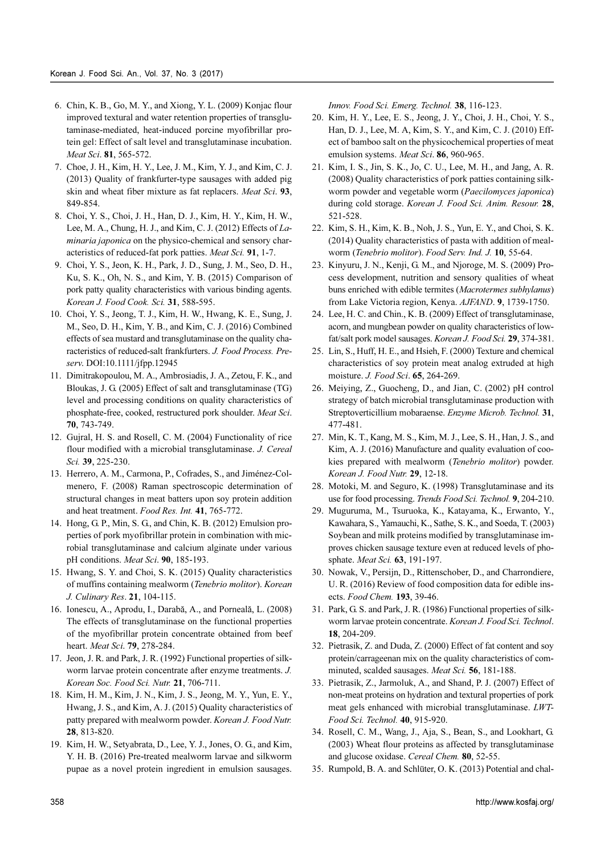- 6. Chin, K. B., Go, M. Y., and Xiong, Y. L. (2009) Konjac flour improved textural and water retention properties of transglutaminase-mediated, heat-induced porcine myofibrillar protein gel: Effect of salt level and transglutaminase incubation. Meat Sci. 81, 565-572.
- 7. Choe, J. H., Kim, H. Y., Lee, J. M., Kim, Y. J., and Kim, C. J. (2013) Quality of frankfurter-type sausages with added pig skin and wheat fiber mixture as fat replacers. Meat Sci. 93, 849-854.
- 8. Choi, Y. S., Choi, J. H., Han, D. J., Kim, H. Y., Kim, H. W., Lee, M. A., Chung, H. J., and Kim, C. J. (2012) Effects of Laminaria japonica on the physico-chemical and sensory characteristics of reduced-fat pork patties. Meat Sci. 91, 1-7.
- 9. Choi, Y. S., Jeon, K. H., Park, J. D., Sung, J. M., Seo, D. H., Ku, S. K., Oh, N. S., and Kim, Y. B. (2015) Comparison of pork patty quality characteristics with various binding agents. Korean J. Food Cook. Sci. 31, 588-595.
- 10. Choi, Y. S., Jeong, T. J., Kim, H. W., Hwang, K. E., Sung, J. M., Seo, D. H., Kim, Y. B., and Kim, C. J. (2016) Combined effects of sea mustard and transglutaminase on the quality characteristics of reduced-salt frankfurters. J. Food Process. Preserv. DOI:10.1111/jfpp.12945
- 11. Dimitrakopoulou, M. A., Ambrosiadis, J. A., Zetou, F. K., and Bloukas, J. G. (2005) Effect of salt and transglutaminase (TG) level and processing conditions on quality characteristics of phosphate-free, cooked, restructured pork shoulder. Meat Sci. 70, 743-749.
- 12. Gujral, H. S. and Rosell, C. M. (2004) Functionality of rice flour modified with a microbial transglutaminase. J. Cereal Sci. 39, 225-230.
- 13. Herrero, A. M., Carmona, P., Cofrades, S., and Jiménez-Colmenero, F. (2008) Raman spectroscopic determination of structural changes in meat batters upon soy protein addition and heat treatment. Food Res. Int. 41, 765-772.
- 14. Hong, G. P., Min, S. G., and Chin, K. B. (2012) Emulsion properties of pork myofibrillar protein in combination with microbial transglutaminase and calcium alginate under various pH conditions. Meat Sci. 90, 185-193.
- 15. Hwang, S. Y. and Choi, S. K. (2015) Quality characteristics of muffins containing mealworm (Tenebrio molitor). Korean J. Culinary Res. 21, 104-115.
- 16. Ionescu, A., Aprodu, I., Darabă, A., and Porneală, L. (2008) The effects of transglutaminase on the functional properties of the myofibrillar protein concentrate obtained from beef heart. Meat Sci. 79, 278-284.
- 17. Jeon, J. R. and Park, J. R. (1992) Functional properties of silkworm larvae protein concentrate after enzyme treatments. J. Korean Soc. Food Sci. Nutr. 21, 706-711.
- 18. Kim, H. M., Kim, J. N., Kim, J. S., Jeong, M. Y., Yun, E. Y., Hwang, J. S., and Kim, A. J. (2015) Quality characteristics of patty prepared with mealworm powder. Korean J. Food Nutr. 28, 813-820.
- 19. Kim, H. W., Setyabrata, D., Lee, Y. J., Jones, O. G., and Kim, Y. H. B. (2016) Pre-treated mealworm larvae and silkworm pupae as a novel protein ingredient in emulsion sausages.

Innov. Food Sci. Emerg. Technol. 38, 116-123.

- 20. Kim, H. Y., Lee, E. S., Jeong, J. Y., Choi, J. H., Choi, Y. S., Han, D. J., Lee, M. A, Kim, S. Y., and Kim, C. J. (2010) Effect of bamboo salt on the physicochemical properties of meat emulsion systems. Meat Sci. 86, 960-965.
- 21. Kim, I. S., Jin, S. K., Jo, C. U., Lee, M. H., and Jang, A. R. (2008) Quality characteristics of pork patties containing silkworm powder and vegetable worm (Paecilomyces japonica) during cold storage. Korean J. Food Sci. Anim. Resour. 28, 521-528.
- 22. Kim, S. H., Kim, K. B., Noh, J. S., Yun, E. Y., and Choi, S. K. (2014) Quality characteristics of pasta with addition of mealworm (Tenebrio molitor). Food Serv. Ind. J. 10, 55-64.
- 23. Kinyuru, J. N., Kenji, G. M., and Njoroge, M. S. (2009) Process development, nutrition and sensory qualities of wheat buns enriched with edible termites (Macrotermes subhylanus) from Lake Victoria region, Kenya. AJFAND. 9, 1739-1750.
- 24. Lee, H. C. and Chin., K. B. (2009) Effect of transglutaminase, acorn, and mungbean powder on quality characteristics of lowfat/salt pork model sausages. Korean J. Food Sci. 29, 374-381.
- 25. Lin, S., Huff, H. E., and Hsieh, F. (2000) Texture and chemical characteristics of soy protein meat analog extruded at high moisture. J. Food Sci. 65, 264-269.
- 26. Meiying, Z., Guocheng, D., and Jian, C. (2002) pH control strategy of batch microbial transglutaminase production with Streptoverticillium mobaraense. Enzyme Microb. Technol. 31, 477-481.
- 27. Min, K. T., Kang, M. S., Kim, M. J., Lee, S. H., Han, J. S., and Kim, A. J. (2016) Manufacture and quality evaluation of cookies prepared with mealworm (Tenebrio molitor) powder. Korean J. Food Nutr. 29, 12-18.
- 28. Motoki, M. and Seguro, K. (1998) Transglutaminase and its use for food processing. Trends Food Sci. Technol. 9, 204-210.
- 29. Muguruma, M., Tsuruoka, K., Katayama, K., Erwanto, Y., Kawahara, S., Yamauchi, K., Sathe, S. K., and Soeda, T. (2003) Soybean and milk proteins modified by transglutaminase improves chicken sausage texture even at reduced levels of phosphate. Meat Sci. 63, 191-197.
- 30. Nowak, V., Persijn, D., Rittenschober, D., and Charrondiere, U. R. (2016) Review of food composition data for edible insects. Food Chem. 193, 39-46.
- 31. Park, G. S. and Park, J. R. (1986) Functional properties of silkworm larvae protein concentrate. Korean J. Food Sci. Technol. 18, 204-209.
- 32. Pietrasik, Z. and Duda, Z. (2000) Effect of fat content and soy protein/carrageenan mix on the quality characteristics of comminuted, scalded sausages. Meat Sci. 56, 181-188.
- 33. Pietrasik, Z., Jarmoluk, A., and Shand, P. J. (2007) Effect of non-meat proteins on hydration and textural properties of pork meat gels enhanced with microbial transglutaminase. LWT-Food Sci. Technol. 40, 915-920.
- 34. Rosell, C. M., Wang, J., Aja, S., Bean, S., and Lookhart, G. (2003) Wheat flour proteins as affected by transglutaminase and glucose oxidase. Cereal Chem. 80, 52-55.
- 35. Rumpold, B. A. and Schlüter, O. K. (2013) Potential and chal-